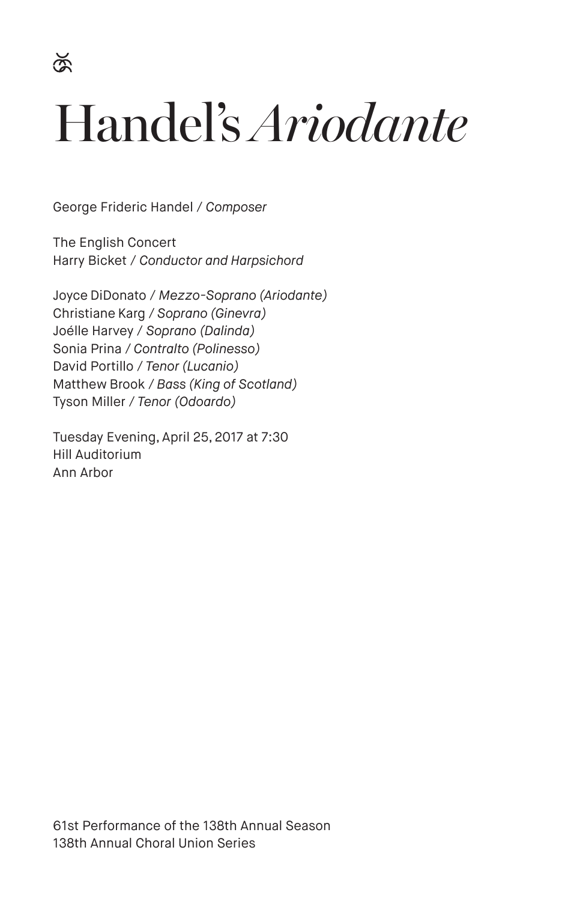$\breve{\mathbb{R}}$ 

# Handel's *Ariodante*

George Frideric Handel / *Composer*

The English Concert Harry Bicket / *Conductor and Harpsichord*

Joyce DiDonato / *Mezzo-Soprano (Ariodante)* Christiane Karg / *Soprano (Ginevra)* Joélle Harvey / *Soprano (Dalinda)* Sonia Prina / *Contralto (Polinesso)* David Portillo / *Tenor (Lucanio)* Matthew Brook / *Bass (King of Scotland)* Tyson Miller / *Tenor (Odoardo)*

Tuesday Evening, April 25, 2017 at 7:30 Hill Auditorium Ann Arbor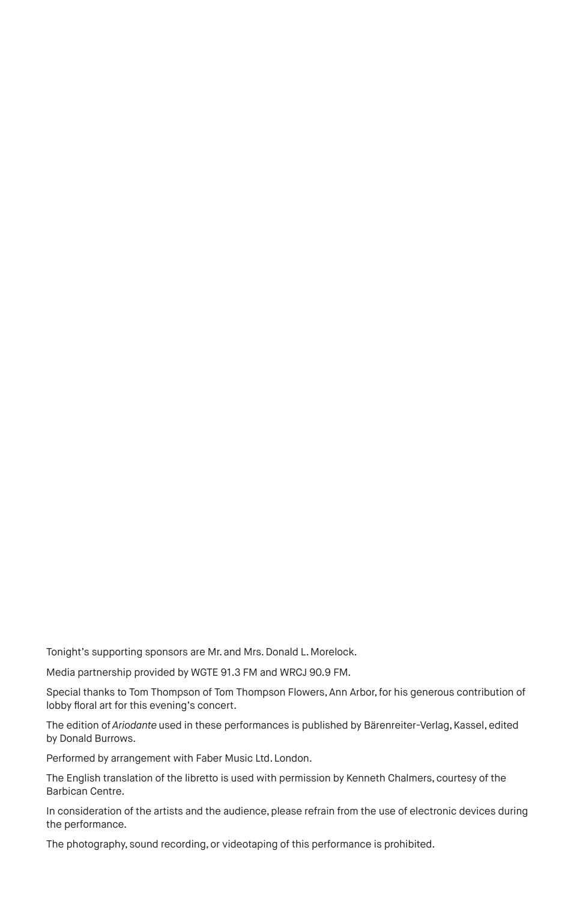Tonight's supporting sponsors are Mr. and Mrs. Donald L. Morelock.

Media partnership provided by WGTE 91.3 FM and WRCJ 90.9 FM.

Special thanks to Tom Thompson of Tom Thompson Flowers, Ann Arbor, for his generous contribution of lobby floral art for this evening's concert.

The edition of *Ariodante* used in these performances is published by Bärenreiter-Verlag, Kassel, edited by Donald Burrows.

Performed by arrangement with Faber Music Ltd. London.

The English translation of the libretto is used with permission by Kenneth Chalmers, courtesy of the Barbican Centre.

In consideration of the artists and the audience, please refrain from the use of electronic devices during the performance.

The photography, sound recording, or videotaping of this performance is prohibited.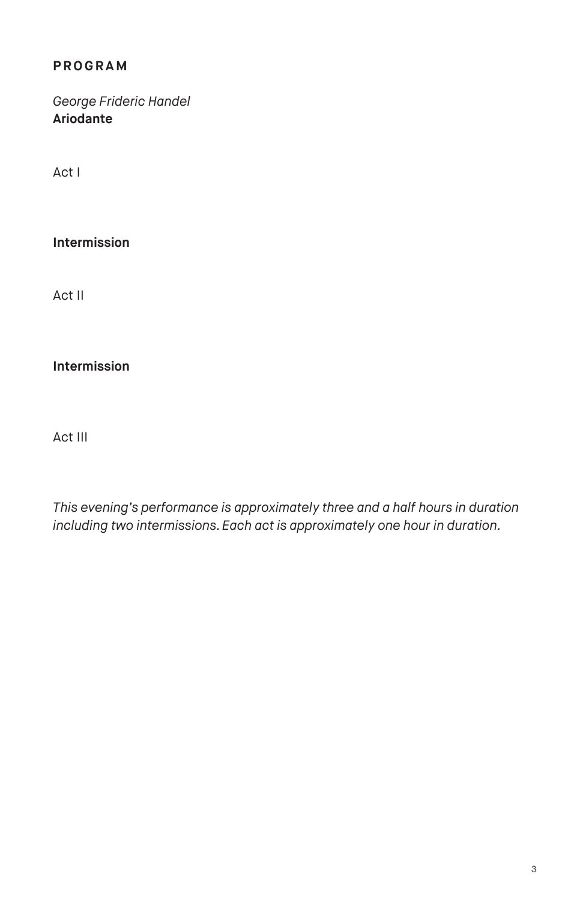# **PROGRAM**

# *George Frideric Handel* **Ariodante**

Act I

### **Intermission**

Act II

#### **Intermission**

Act III

*This evening's performance is approximately three and a half hours in duration including two intermissions. Each act is approximately one hour in duration.*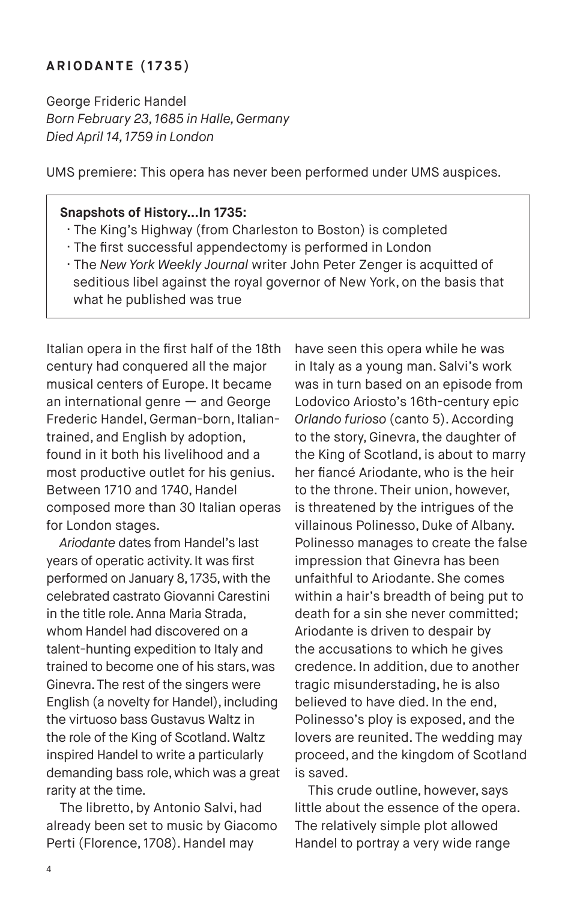#### **ARIODANTE (1735)**

George Frideric Handel *Born February 23, 1685 in Halle, Germany Died April 14, 1759 in London*

UMS premiere: This opera has never been performed under UMS auspices.

#### **Snapshots of History…In 1735:**

- · The King's Highway (from Charleston to Boston) is completed
- · The first successful appendectomy is performed in London
- · The *New York Weekly Journal* writer John Peter Zenger is acquitted of seditious libel against the royal governor of New York, on the basis that what he published was true

Italian opera in the first half of the 18th century had conquered all the major musical centers of Europe. It became an international genre — and George Frederic Handel, German-born, Italiantrained, and English by adoption, found in it both his livelihood and a most productive outlet for his genius. Between 1710 and 1740, Handel composed more than 30 Italian operas for London stages.

*Ariodante* dates from Handel's last years of operatic activity. It was first performed on January 8, 1735, with the celebrated castrato Giovanni Carestini in the title role. Anna Maria Strada, whom Handel had discovered on a talent-hunting expedition to Italy and trained to become one of his stars, was Ginevra. The rest of the singers were English (a novelty for Handel), including the virtuoso bass Gustavus Waltz in the role of the King of Scotland. Waltz inspired Handel to write a particularly demanding bass role, which was a great rarity at the time.

The libretto, by Antonio Salvi, had already been set to music by Giacomo Perti (Florence, 1708). Handel may

have seen this opera while he was in Italy as a young man. Salvi's work was in turn based on an episode from Lodovico Ariosto's 16th-century epic *Orlando furioso* (canto 5). According to the story, Ginevra, the daughter of the King of Scotland, is about to marry her fiancé Ariodante, who is the heir to the throne. Their union, however, is threatened by the intrigues of the villainous Polinesso, Duke of Albany. Polinesso manages to create the false impression that Ginevra has been unfaithful to Ariodante. She comes within a hair's breadth of being put to death for a sin she never committed; Ariodante is driven to despair by the accusations to which he gives credence. In addition, due to another tragic misunderstading, he is also believed to have died. In the end, Polinesso's ploy is exposed, and the lovers are reunited. The wedding may proceed, and the kingdom of Scotland is saved.

This crude outline, however, says little about the essence of the opera. The relatively simple plot allowed Handel to portray a very wide range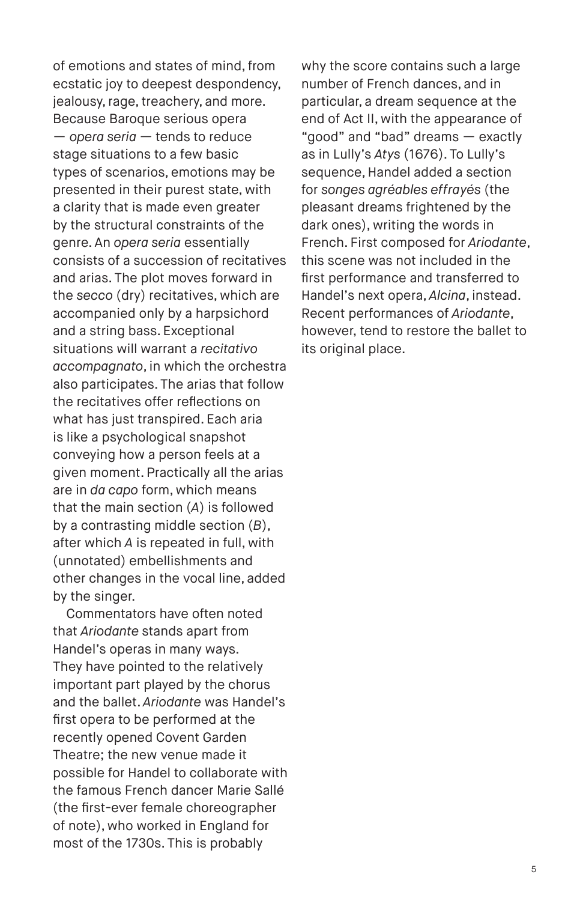of emotions and states of mind, from ecstatic joy to deepest despondency. jealousy, rage, treachery, and more. Because Baroque serious opera — *opera seria —* tends to reduce stage situations to a few basic types of scenarios, emotions may be presented in their purest state, with a clarity that is made even greater by the structural constraints of the genre. An *opera seria* essentially consists of a succession of recitatives and arias. The plot moves forward in the *secco* (dry) recitatives, which are accompanied only by a harpsichord and a string bass. Exceptional situations will warrant a *recitativo accompagnato*, in which the orchestra also participates. The arias that follow the recitatives offer reflections on what has just transpired. Each aria is like a psychological snapshot conveying how a person feels at a given moment. Practically all the arias are in *da capo* form, which means that the main section (*A*) is followed by a contrasting middle section (*B*), after which *A* is repeated in full, with (unnotated) embellishments and other changes in the vocal line, added by the singer.

Commentators have often noted that *Ariodante* stands apart from Handel's operas in many ways. They have pointed to the relatively important part played by the chorus and the ballet. *Ariodante* was Handel's first opera to be performed at the recently opened Covent Garden Theatre; the new venue made it possible for Handel to collaborate with the famous French dancer Marie Sallé (the first-ever female choreographer of note), who worked in England for most of the 1730s. This is probably

why the score contains such a large number of French dances, and in particular, a dream sequence at the end of Act II, with the appearance of "good" and "bad" dreams — exactly as in Lully's *Atys* (1676). To Lully's sequence, Handel added a section for *songes agréables effrayés* (the pleasant dreams frightened by the dark ones), writing the words in French. First composed for *Ariodante*, this scene was not included in the first performance and transferred to Handel's next opera, *Alcina*, instead. Recent performances of *Ariodante*, however, tend to restore the ballet to its original place.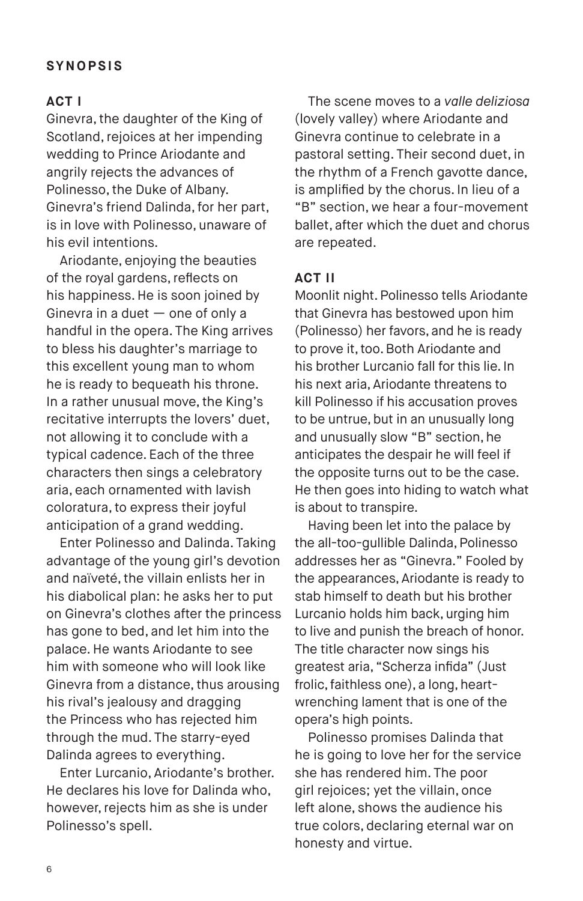#### **ACT I**

Ginevra, the daughter of the King of Scotland, rejoices at her impending wedding to Prince Ariodante and angrily rejects the advances of Polinesso, the Duke of Albany. Ginevra's friend Dalinda, for her part, is in love with Polinesso, unaware of his evil intentions.

Ariodante, enjoying the beauties of the royal gardens, reflects on his happiness. He is soon joined by Ginevra in a duet  $-$  one of only a handful in the opera. The King arrives to bless his daughter's marriage to this excellent young man to whom he is ready to bequeath his throne. In a rather unusual move, the King's recitative interrupts the lovers' duet, not allowing it to conclude with a typical cadence. Each of the three characters then sings a celebratory aria, each ornamented with lavish coloratura, to express their joyful anticipation of a grand wedding.

Enter Polinesso and Dalinda. Taking advantage of the young girl's devotion and naïveté, the villain enlists her in his diabolical plan: he asks her to put on Ginevra's clothes after the princess has gone to bed, and let him into the palace. He wants Ariodante to see him with someone who will look like Ginevra from a distance, thus arousing his rival's jealousy and dragging the Princess who has rejected him through the mud. The starry-eyed Dalinda agrees to everything.

Enter Lurcanio, Ariodante's brother. He declares his love for Dalinda who, however, rejects him as she is under Polinesso's spell.

The scene moves to a *valle deliziosa*  (lovely valley) where Ariodante and Ginevra continue to celebrate in a pastoral setting. Their second duet, in the rhythm of a French gavotte dance, is amplified by the chorus. In lieu of a "B" section, we hear a four-movement ballet, after which the duet and chorus are repeated.

#### **ACT II**

Moonlit night. Polinesso tells Ariodante that Ginevra has bestowed upon him (Polinesso) her favors, and he is ready to prove it, too. Both Ariodante and his brother Lurcanio fall for this lie. In his next aria, Ariodante threatens to kill Polinesso if his accusation proves to be untrue, but in an unusually long and unusually slow "B" section, he anticipates the despair he will feel if the opposite turns out to be the case. He then goes into hiding to watch what is about to transpire.

Having been let into the palace by the all-too-gullible Dalinda, Polinesso addresses her as "Ginevra." Fooled by the appearances, Ariodante is ready to stab himself to death but his brother Lurcanio holds him back, urging him to live and punish the breach of honor. The title character now sings his greatest aria, "Scherza infida" (Just frolic, faithless one), a long, heartwrenching lament that is one of the opera's high points.

Polinesso promises Dalinda that he is going to love her for the service she has rendered him. The poor girl rejoices; yet the villain, once left alone, shows the audience his true colors, declaring eternal war on honesty and virtue.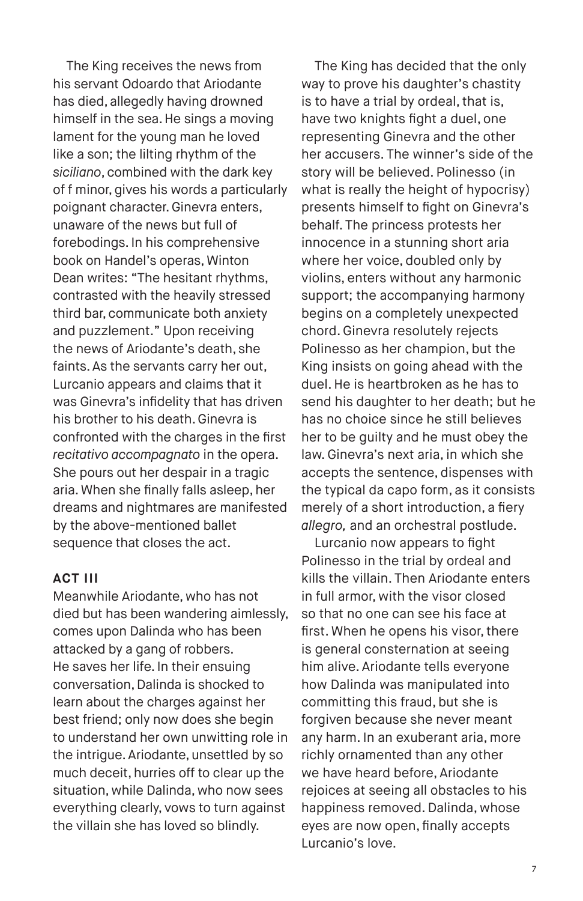The King receives the news from his servant Odoardo that Ariodante has died, allegedly having drowned himself in the sea. He sings a moving lament for the young man he loved like a son; the lilting rhythm of the *siciliano*, combined with the dark key of f minor, gives his words a particularly poignant character. Ginevra enters, unaware of the news but full of forebodings. In his comprehensive book on Handel's operas, Winton Dean writes: "The hesitant rhythms, contrasted with the heavily stressed third bar, communicate both anxiety and puzzlement." Upon receiving the news of Ariodante's death, she faints. As the servants carry her out, Lurcanio appears and claims that it was Ginevra's infidelity that has driven his brother to his death. Ginevra is confronted with the charges in the first *recitativo accompagnato* in the opera. She pours out her despair in a tragic aria. When she finally falls asleep, her dreams and nightmares are manifested by the above-mentioned ballet sequence that closes the act.

#### **ACT III**

Meanwhile Ariodante, who has not died but has been wandering aimlessly, comes upon Dalinda who has been attacked by a gang of robbers. He saves her life. In their ensuing conversation, Dalinda is shocked to learn about the charges against her best friend; only now does she begin to understand her own unwitting role in the intrigue. Ariodante, unsettled by so much deceit, hurries off to clear up the situation, while Dalinda, who now sees everything clearly, vows to turn against the villain she has loved so blindly.

The King has decided that the only way to prove his daughter's chastity is to have a trial by ordeal, that is, have two knights fight a duel, one representing Ginevra and the other her accusers. The winner's side of the story will be believed. Polinesso (in what is really the height of hypocrisy) presents himself to fight on Ginevra's behalf. The princess protests her innocence in a stunning short aria where her voice, doubled only by violins, enters without any harmonic support; the accompanying harmony begins on a completely unexpected chord. Ginevra resolutely rejects Polinesso as her champion, but the King insists on going ahead with the duel. He is heartbroken as he has to send his daughter to her death; but he has no choice since he still believes her to be guilty and he must obey the law. Ginevra's next aria, in which she accepts the sentence, dispenses with the typical da capo form, as it consists merely of a short introduction, a fiery *allegro,* and an orchestral postlude.

Lurcanio now appears to fight Polinesso in the trial by ordeal and kills the villain. Then Ariodante enters in full armor, with the visor closed so that no one can see his face at first. When he opens his visor, there is general consternation at seeing him alive. Ariodante tells everyone how Dalinda was manipulated into committing this fraud, but she is forgiven because she never meant any harm. In an exuberant aria, more richly ornamented than any other we have heard before, Ariodante rejoices at seeing all obstacles to his happiness removed. Dalinda, whose eyes are now open, finally accepts Lurcanio's love.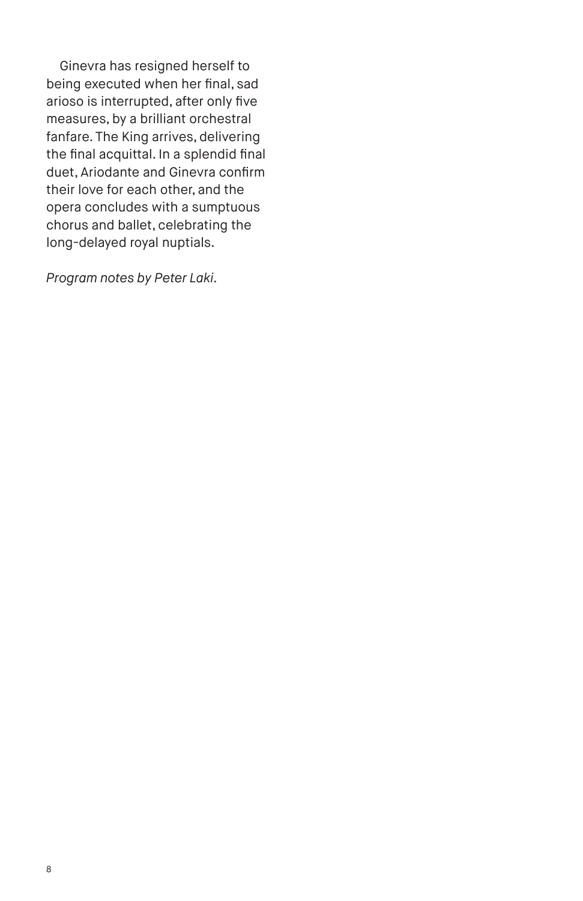Ginevra has resigned herself to being executed when her final, sad arioso is interrupted, after only five measures, by a brilliant orchestral fanfare. The King arrives, delivering the final acquittal. In a splendid final duet, Ariodante and Ginevra confirm their love for each other, and the opera concludes with a sumptuous chorus and ballet, celebrating the long-delayed royal nuptials.

*Program notes by Peter Laki.*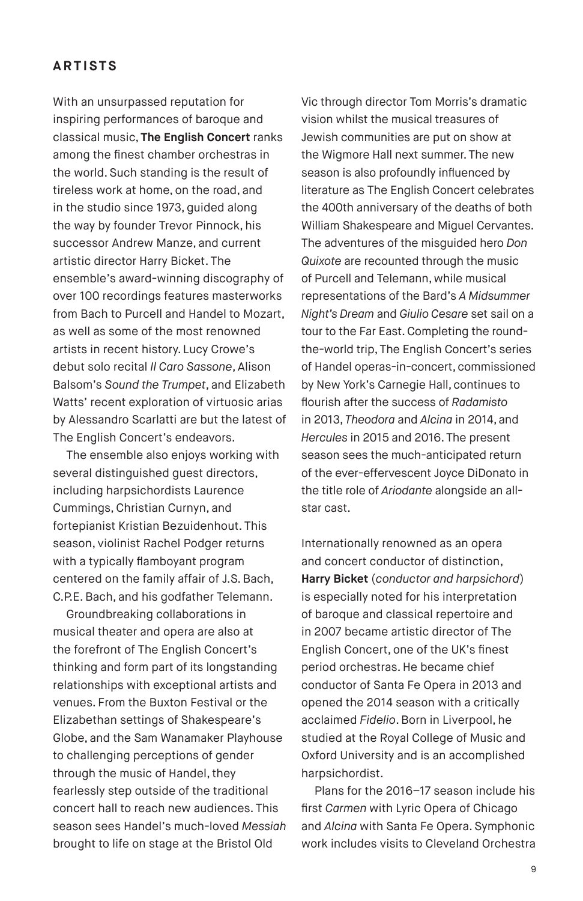### **ARTISTS**

With an unsurpassed reputation for inspiring performances of baroque and classical music, **The English Concert** ranks among the finest chamber orchestras in the world. Such standing is the result of tireless work at home, on the road, and in the studio since 1973, guided along the way by founder Trevor Pinnock, his successor Andrew Manze, and current artistic director Harry Bicket. The ensemble's award-winning discography of over 100 recordings features masterworks from Bach to Purcell and Handel to Mozart, as well as some of the most renowned artists in recent history. Lucy Crowe's debut solo recital *Il Caro Sassone*, Alison Balsom's *Sound the Trumpet*, and Elizabeth Watts' recent exploration of virtuosic arias by Alessandro Scarlatti are but the latest of The English Concert's endeavors.

The ensemble also enjoys working with several distinguished guest directors, including harpsichordists Laurence Cummings, Christian Curnyn, and fortepianist Kristian Bezuidenhout. This season, violinist Rachel Podger returns with a typically flamboyant program centered on the family affair of J.S. Bach, C.P.E. Bach, and his godfather Telemann.

Groundbreaking collaborations in musical theater and opera are also at the forefront of The English Concert's thinking and form part of its longstanding relationships with exceptional artists and venues. From the Buxton Festival or the Elizabethan settings of Shakespeare's Globe, and the Sam Wanamaker Playhouse to challenging perceptions of gender through the music of Handel, they fearlessly step outside of the traditional concert hall to reach new audiences. This season sees Handel's much-loved *Messiah* brought to life on stage at the Bristol Old

Vic through director Tom Morris's dramatic vision whilst the musical treasures of Jewish communities are put on show at the Wigmore Hall next summer. The new season is also profoundly influenced by literature as The English Concert celebrates the 400th anniversary of the deaths of both William Shakespeare and Miguel Cervantes. The adventures of the misguided hero *Don Quixote* are recounted through the music of Purcell and Telemann, while musical representations of the Bard's *A Midsummer Night's Dream* and *Giulio Cesare* set sail on a tour to the Far East. Completing the roundthe-world trip, The English Concert's series of Handel operas-in-concert, commissioned by New York's Carnegie Hall, continues to flourish after the success of *Radamisto* in 2013, *Theodora* and *Alcina* in 2014, and *Hercules* in 2015 and 2016. The present season sees the much-anticipated return of the ever-effervescent Joyce DiDonato in the title role of *Ariodante* alongside an allstar cast.

Internationally renowned as an opera and concert conductor of distinction, **Harry Bicket** (*conductor and harpsichord*) is especially noted for his interpretation of baroque and classical repertoire and in 2007 became artistic director of The English Concert, one of the UK's finest period orchestras. He became chief conductor of Santa Fe Opera in 2013 and opened the 2014 season with a critically acclaimed *Fidelio*. Born in Liverpool, he studied at the Royal College of Music and Oxford University and is an accomplished harpsichordist.

Plans for the 2016–17 season include his first *Carmen* with Lyric Opera of Chicago and *Alcina* with Santa Fe Opera. Symphonic work includes visits to Cleveland Orchestra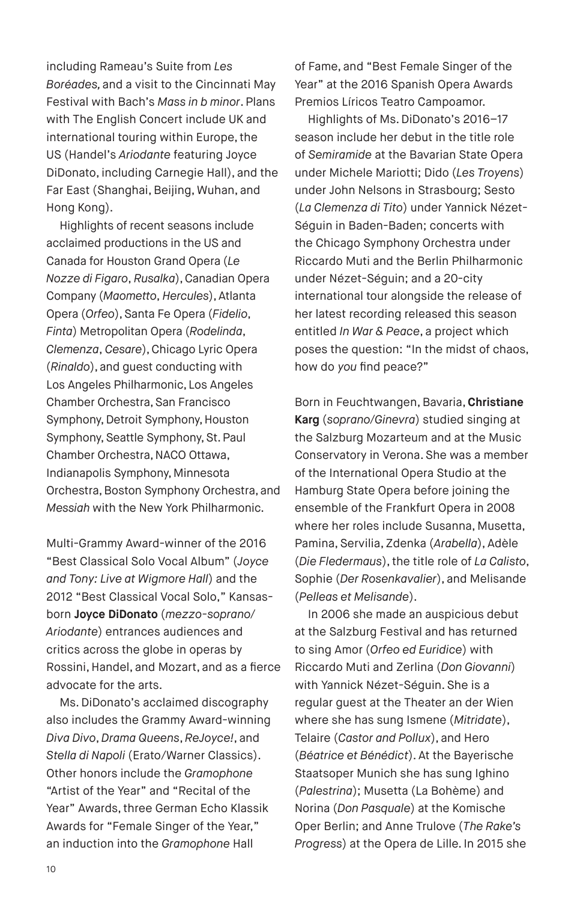including Rameau's Suite from *Les Boréades,* and a visit to the Cincinnati May Festival with Bach's *Mass in b minor*. Plans with The English Concert include UK and international touring within Europe, the US (Handel's *Ariodante* featuring Joyce DiDonato, including Carnegie Hall), and the Far East (Shanghai, Beijing, Wuhan, and Hong Kong).

Highlights of recent seasons include acclaimed productions in the US and Canada for Houston Grand Opera (*Le Nozze di Figaro*, *Rusalka*), Canadian Opera Company (*Maometto*, *Hercules*), Atlanta Opera (*Orfeo*), Santa Fe Opera (*Fidelio*, *Finta*) Metropolitan Opera (*Rodelinda*, *Clemenza*, *Cesare*), Chicago Lyric Opera (*Rinaldo*), and guest conducting with Los Angeles Philharmonic, Los Angeles Chamber Orchestra, San Francisco Symphony, Detroit Symphony, Houston Symphony, Seattle Symphony, St. Paul Chamber Orchestra, NACO Ottawa, Indianapolis Symphony, Minnesota Orchestra, Boston Symphony Orchestra, and *Messiah* with the New York Philharmonic.

Multi-Grammy Award-winner of the 2016 "Best Classical Solo Vocal Album" (*Joyce and Tony: Live at Wigmore Hall*) and the 2012 "Best Classical Vocal Solo," Kansasborn **Joyce DiDonato** (*mezzo-soprano/ Ariodante*) entrances audiences and critics across the globe in operas by Rossini, Handel, and Mozart, and as a fierce advocate for the arts.

Ms. DiDonato's acclaimed discography also includes the Grammy Award-winning *Diva Divo*, *Drama Queens*, *ReJoyce!*, and *Stella di Napoli* (Erato/Warner Classics). Other honors include the *Gramophone* "Artist of the Year" and "Recital of the Year" Awards, three German Echo Klassik Awards for "Female Singer of the Year," an induction into the *Gramophone* Hall

of Fame, and "Best Female Singer of the Year" at the 2016 Spanish Opera Awards Premios Líricos Teatro Campoamor.

Highlights of Ms. DiDonato's 2016–17 season include her debut in the title role of *Semiramide* at the Bavarian State Opera under Michele Mariotti; Dido (*Les Troyens*) under John Nelsons in Strasbourg; Sesto (*La Clemenza di Tito*) under Yannick Nézet-Séguin in Baden-Baden; concerts with the Chicago Symphony Orchestra under Riccardo Muti and the Berlin Philharmonic under Nézet-Séguin; and a 20-city international tour alongside the release of her latest recording released this season entitled *In War & Peace*, a project which poses the question: "In the midst of chaos, how do *you* find peace?"

Born in Feuchtwangen, Bavaria, **Christiane Karg** (*soprano/Ginevra*) studied singing at the Salzburg Mozarteum and at the Music Conservatory in Verona. She was a member of the International Opera Studio at the Hamburg State Opera before joining the ensemble of the Frankfurt Opera in 2008 where her roles include Susanna, Musetta, Pamina, Servilia, Zdenka (*Arabella*), Adèle (*Die Fledermaus*), the title role of *La Calisto*, Sophie (*Der Rosenkavalier*), and Melisande (*Pelleas et Melisande*).

In 2006 she made an auspicious debut at the Salzburg Festival and has returned to sing Amor (*Orfeo ed Euridice*) with Riccardo Muti and Zerlina (*Don Giovanni*) with Yannick Nézet-Séguin. She is a regular guest at the Theater an der Wien where she has sung Ismene (*Mitridate*), Telaire (*Castor and Pollux*), and Hero (*Béatrice et Bénédict*). At the Bayerische Staatsoper Munich she has sung Ighino (*Palestrina*); Musetta (La Bohème) and Norina (*Don Pasquale*) at the Komische Oper Berlin; and Anne Trulove (*The Rake's Progress*) at the Opera de Lille. In 2015 she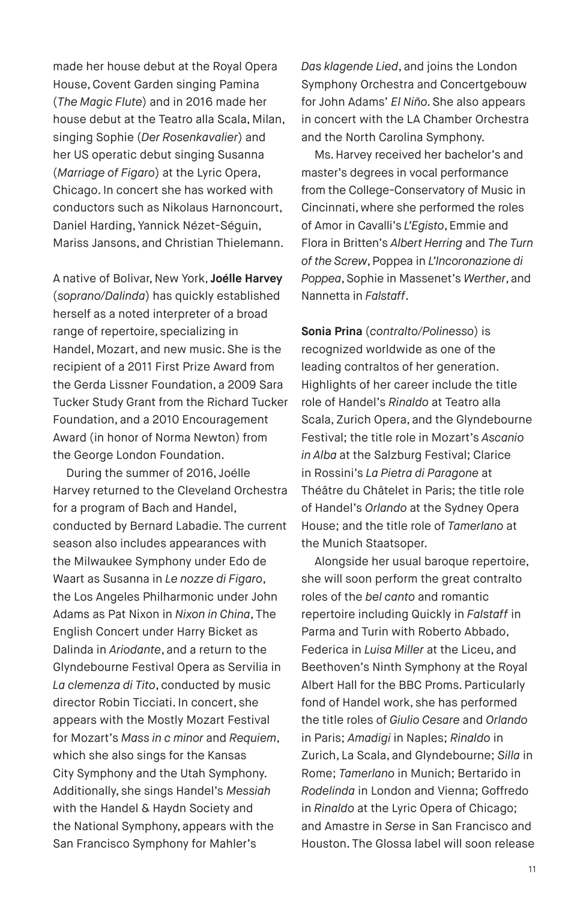made her house debut at the Royal Opera House, Covent Garden singing Pamina (*The Magic Flute*) and in 2016 made her house debut at the Teatro alla Scala, Milan, singing Sophie (*Der Rosenkavalier*) and her US operatic debut singing Susanna (*Marriage of Figaro*) at the Lyric Opera, Chicago. In concert she has worked with conductors such as Nikolaus Harnoncourt, Daniel Harding, Yannick Nézet-Séguin, Mariss Jansons, and Christian Thielemann.

A native of Bolivar, New York, **Joélle Harvey** (*soprano/Dalinda*) has quickly established herself as a noted interpreter of a broad range of repertoire, specializing in Handel, Mozart, and new music. She is the recipient of a 2011 First Prize Award from the Gerda Lissner Foundation, a 2009 Sara Tucker Study Grant from the Richard Tucker Foundation, and a 2010 Encouragement Award (in honor of Norma Newton) from the George London Foundation.

During the summer of 2016, Joélle Harvey returned to the Cleveland Orchestra for a program of Bach and Handel, conducted by Bernard Labadie. The current season also includes appearances with the Milwaukee Symphony under Edo de Waart as Susanna in *Le nozze di Figaro*, the Los Angeles Philharmonic under John Adams as Pat Nixon in *Nixon in China*, The English Concert under Harry Bicket as Dalinda in *Ariodante*, and a return to the Glyndebourne Festival Opera as Servilia in *La clemenza di Tito*, conducted by music director Robin Ticciati. In concert, she appears with the Mostly Mozart Festival for Mozart's *Mass in c minor* and *Requiem*, which she also sings for the Kansas City Symphony and the Utah Symphony. Additionally, she sings Handel's *Messiah*  with the Handel & Haydn Society and the National Symphony, appears with the San Francisco Symphony for Mahler's

*Das klagende Lied*, and joins the London Symphony Orchestra and Concertgebouw for John Adams' *El Niño.* She also appears in concert with the LA Chamber Orchestra and the North Carolina Symphony.

Ms. Harvey received her bachelor's and master's degrees in vocal performance from the College-Conservatory of Music in Cincinnati, where she performed the roles of Amor in Cavalli's *L'Egisto*, Emmie and Flora in Britten's *Albert Herring* and *The Turn of the Screw*, Poppea in *L'Incoronazione di Poppea*, Sophie in Massenet's *Werther*, and Nannetta in *Falstaff*.

**Sonia Prina** (*contralto/Polinesso*) is recognized worldwide as one of the leading contraltos of her generation. Highlights of her career include the title role of Handel's *Rinaldo* at Teatro alla Scala, Zurich Opera, and the Glyndebourne Festival; the title role in Mozart's *Ascanio in Alba* at the Salzburg Festival; Clarice in Rossini's *La Pietra di Paragone* at Théâtre du Châtelet in Paris; the title role of Handel's *Orlando* at the Sydney Opera House; and the title role of *Tamerlano* at the Munich Staatsoper.

Alongside her usual baroque repertoire, she will soon perform the great contralto roles of the *bel canto* and romantic repertoire including Quickly in *Falstaff* in Parma and Turin with Roberto Abbado, Federica in *Luisa Miller* at the Liceu, and Beethoven's Ninth Symphony at the Royal Albert Hall for the BBC Proms. Particularly fond of Handel work, she has performed the title roles of *Giulio Cesare* and *Orlando*  in Paris; *Amadigi* in Naples; *Rinaldo* in Zurich, La Scala, and Glyndebourne; *Silla* in Rome; *Tamerlano* in Munich; Bertarido in *Rodelinda* in London and Vienna; Goffredo in *Rinaldo* at the Lyric Opera of Chicago; and Amastre in *Serse* in San Francisco and Houston. The Glossa label will soon release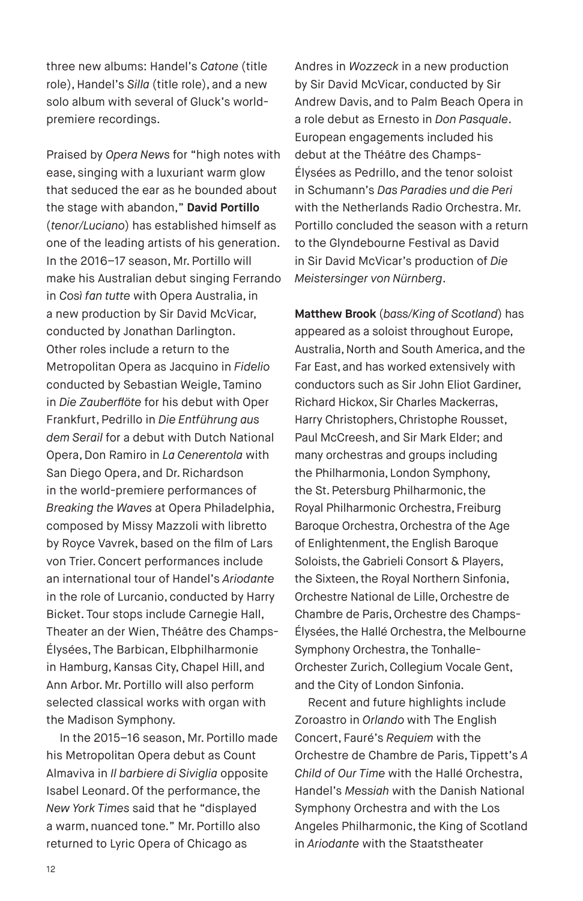three new albums: Handel's *Catone* (title role), Handel's *Silla* (title role), and a new solo album with several of Gluck's worldpremiere recordings.

Praised by *Opera News* for "high notes with ease, singing with a luxuriant warm glow that seduced the ear as he bounded about the stage with abandon," **David Portillo** (*tenor/Luciano*) has established himself as one of the leading artists of his generation. In the 2016–17 season, Mr. Portillo will make his Australian debut singing Ferrando in *Così fan tutte* with Opera Australia, in a new production by Sir David McVicar, conducted by Jonathan Darlington. Other roles include a return to the Metropolitan Opera as Jacquino in *Fidelio* conducted by Sebastian Weigle, Tamino in *Die Zauberflöte* for his debut with Oper Frankfurt, Pedrillo in *Die Entführung aus dem Serail* for a debut with Dutch National Opera, Don Ramiro in *La Cenerentola* with San Diego Opera, and Dr. Richardson in the world-premiere performances of *Breaking the Waves* at Opera Philadelphia, composed by Missy Mazzoli with libretto by Royce Vavrek, based on the film of Lars von Trier. Concert performances include an international tour of Handel's *Ariodante* in the role of Lurcanio, conducted by Harry Bicket. Tour stops include Carnegie Hall, Theater an der Wien, Théâtre des Champs-Élysées, The Barbican, Elbphilharmonie in Hamburg, Kansas City, Chapel Hill, and Ann Arbor. Mr. Portillo will also perform selected classical works with organ with the Madison Symphony.

In the 2015–16 season, Mr. Portillo made his Metropolitan Opera debut as Count Almaviva in *Il barbiere di Siviglia* opposite Isabel Leonard. Of the performance, the *New York Times* said that he "displayed a warm, nuanced tone." Mr. Portillo also returned to Lyric Opera of Chicago as

Andres in *Wozzeck* in a new production by Sir David McVicar, conducted by Sir Andrew Davis, and to Palm Beach Opera in a role debut as Ernesto in *Don Pasquale*. European engagements included his debut at the Théâtre des Champs-Élysées as Pedrillo, and the tenor soloist in Schumann's *Das Paradies und die Peri* with the Netherlands Radio Orchestra. Mr. Portillo concluded the season with a return to the Glyndebourne Festival as David in Sir David McVicar's production of *Die Meistersinger von Nürnberg*.

**Matthew Brook** (*bass/King of Scotland*) has appeared as a soloist throughout Europe, Australia, North and South America, and the Far East, and has worked extensively with conductors such as Sir John Eliot Gardiner, Richard Hickox, Sir Charles Mackerras, Harry Christophers, Christophe Rousset, Paul McCreesh, and Sir Mark Elder; and many orchestras and groups including the Philharmonia, London Symphony, the St. Petersburg Philharmonic, the Royal Philharmonic Orchestra, Freiburg Baroque Orchestra, Orchestra of the Age of Enlightenment, the English Baroque Soloists, the Gabrieli Consort & Players, the Sixteen, the Royal Northern Sinfonia, Orchestre National de Lille, Orchestre de Chambre de Paris, Orchestre des Champs-Élysées, the Hallé Orchestra, the Melbourne Symphony Orchestra, the Tonhalle-Orchester Zurich, Collegium Vocale Gent, and the City of London Sinfonia.

Recent and future highlights include Zoroastro in *Orlando* with The English Concert, Fauré's *Requiem* with the Orchestre de Chambre de Paris, Tippett's *A Child of Our Time* with the Hallé Orchestra, Handel's *Messiah* with the Danish National Symphony Orchestra and with the Los Angeles Philharmonic, the King of Scotland in *Ariodante* with the Staatstheater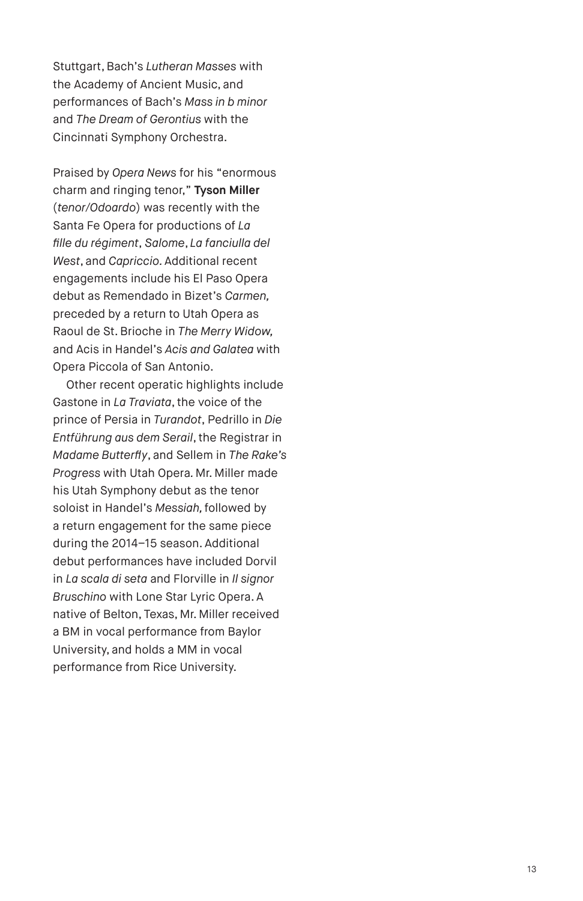Stuttgart, Bach's *Lutheran Masses* with the Academy of Ancient Music, and performances of Bach's *Mass in b minor*  and *The Dream of Gerontius* with the Cincinnati Symphony Orchestra.

Praised by *Opera News* for his "enormous charm and ringing tenor," **Tyson Miller** (*tenor/Odoardo*) was recently with the Santa Fe Opera for productions of *La fille du régiment*, *Salome*, *La fanciulla del West*, and *Capriccio.* Additional recent engagements include his El Paso Opera debut as Remendado in Bizet's *Carmen,*  preceded by a return to Utah Opera as Raoul de St. Brioche in *The Merry Widow,* and Acis in Handel's *Acis and Galatea* with Opera Piccola of San Antonio.

Other recent operatic highlights include Gastone in *La Traviata*, the voice of the prince of Persia in *Turandot*, Pedrillo in *Die Entführung aus dem Serail*, the Registrar in *Madame Butterfly*, and Sellem in *The Rake's Progress* with Utah Opera*.* Mr. Miller made his Utah Symphony debut as the tenor soloist in Handel's *Messiah,* followed by a return engagement for the same piece during the 2014–15 season. Additional debut performances have included Dorvil in *La scala di seta* and Florville in *Il signor Bruschino* with Lone Star Lyric Opera. A native of Belton, Texas, Mr. Miller received a BM in vocal performance from Baylor University, and holds a MM in vocal performance from Rice University.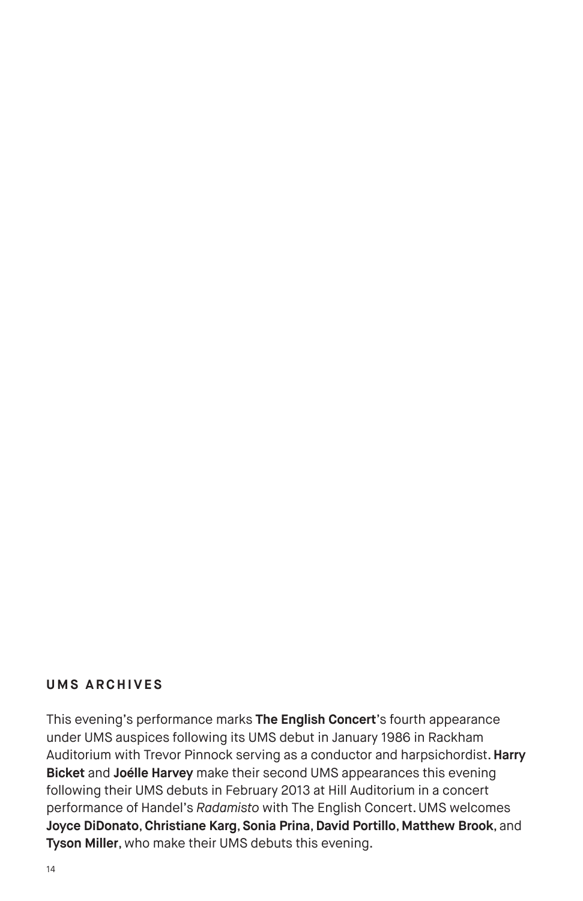#### **UMS ARCHIVES**

This evening's performance marks **The English Concert**'s fourth appearance under UMS auspices following its UMS debut in January 1986 in Rackham Auditorium with Trevor Pinnock serving as a conductor and harpsichordist. **Harry Bicket** and **Joélle Harvey** make their second UMS appearances this evening following their UMS debuts in February 2013 at Hill Auditorium in a concert performance of Handel's *Radamisto* with The English Concert. UMS welcomes **Joyce DiDonato**, **Christiane Karg**, **Sonia Prina**, **David Portillo**, **Matthew Brook**, and **Tyson Miller**, who make their UMS debuts this evening.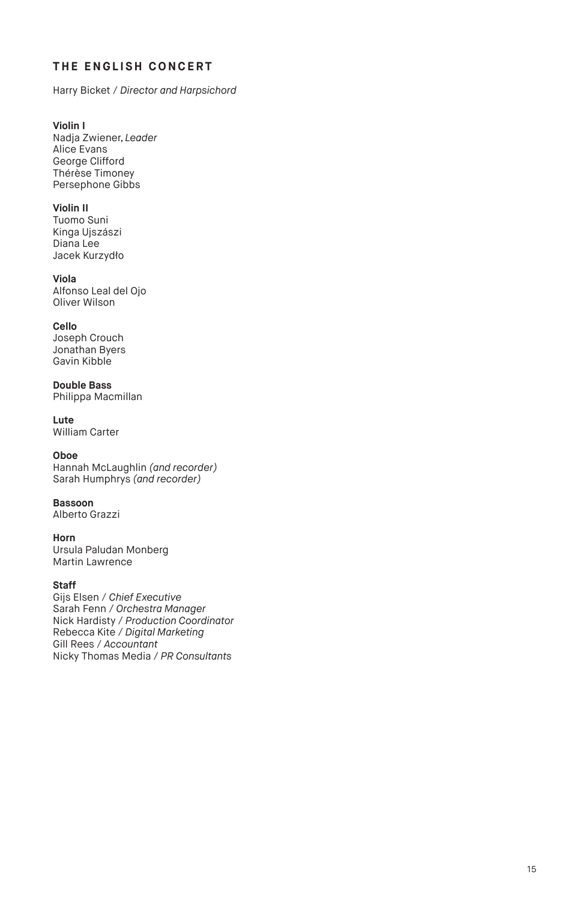#### **THE ENGLISH CONCERT**

Harry Bicket / *Director and Harpsichord*

**Violin I** Nadja Zwiener, *Leader* Alice Evans George Clifford Thérèse Timoney Persephone Gibbs

#### **Violin II** Tuomo Suni

Kinga Ujszászi Diana Lee Jacek Kurzydło

**Viola**  Alfonso Leal del Ojo Oliver Wilson

#### **Cello**

Joseph Crouch Jonathan Byers Gavin Kibble

**Double Bass** Philippa Macmillan

**Lute**  William Carter

#### **Oboe**

Hannah McLaughlin *(and recorder)* Sarah Humphrys *(and recorder)*

# **Bassoon**

Alberto Grazzi

**Horn** Ursula Paludan Monberg Martin Lawrence

#### **Staff**

Gijs Elsen / *Chief Executive* Sarah Fenn / *Orchestra Manager* Nick Hardisty / *Production Coordinator* Rebecca Kite / *Digital Marketing* Gill Rees / *Accountant* Nicky Thomas Media / *PR Consultants*